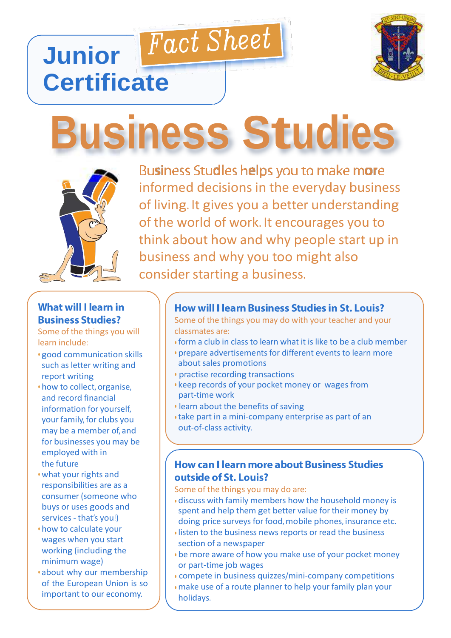

# **Business Studies**

Fact Sheet



**Junior** 

**Certificate**

Business Studies helps you to make more informed decisions in the everyday business of living. It gives you a better understanding of the world of work. It encourages you to think about how and why people start up in business and why you too might also consider starting a business.

## **What will I learn in Business Studies?**

Some of the things you will learn include:

- good communication skills such as letter writing and report writing
- how to collect, organise, and record financial information for yourself, your family, for clubs you may be a member of, and for businesses you may be employed with in the future
- what your rights and responsibilities are as a consumer (someone who buys or uses goods and services - that's you!)
- how to calculate your wages when you start working (including the minimum wage)
- about why our membership of the European Union is so important to our economy.

#### How will I learn Business Studies in St. Louis?

Some of the things you may do with your teacher and your classmates are:

- form a club in class to learn what it is like to be a club member
- prepare advertisements for different events to learn more about sales promotions
- practise recording transactions
- keep records of your pocket money or wages from part-time work
- learn about the benefits of saving
- take part in a mini-company enterprise as part of an out-of-class activity.

#### **How can I learn more about Business Studies** outside of St. Louis?

Some of the things you may do are:

- discuss with family members how the household money is spent and help them get better value for their money by doing price surveys for food, mobile phones, insurance etc.
- listen to the business news reports or read the business section of a newspaper
- be more aware of how you make use of your pocket money or part-time job wages
- compete in business quizzes/mini-company competitions
- make use of a route planner to help your family plan your holidays.